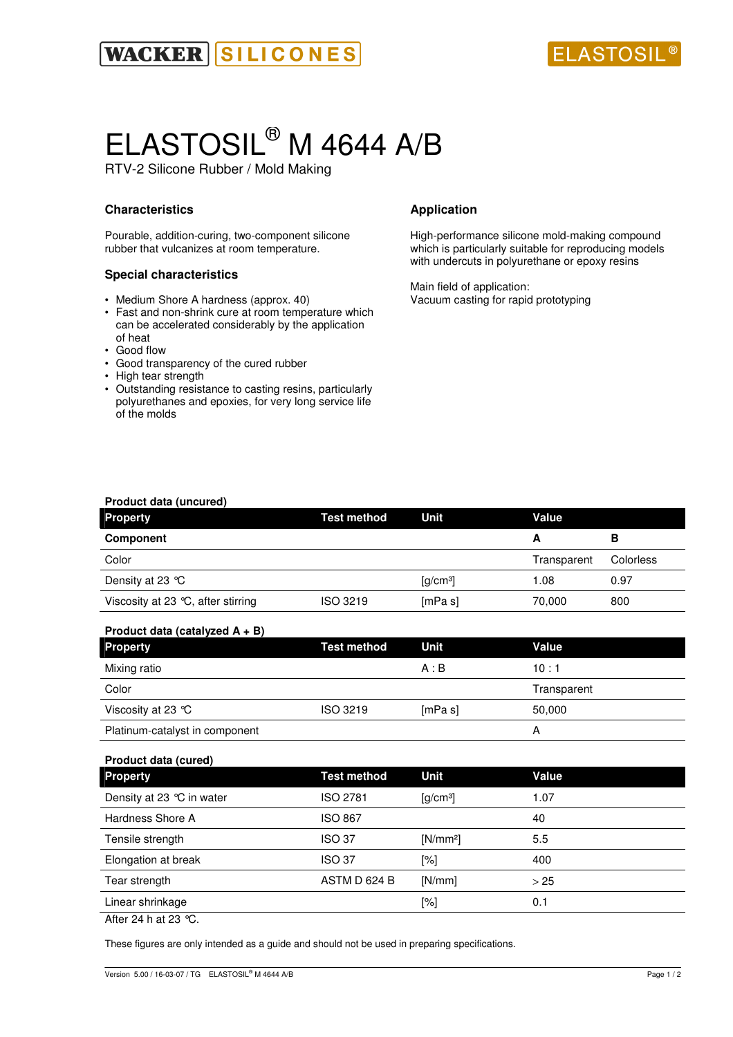

# ELASTOSIL® M 4644 A/B

RTV-2 Silicone Rubber / Mold Making

# **Characteristics**

Pourable, addition-curing, two-component silicone rubber that vulcanizes at room temperature.

## **Special characteristics**

- Medium Shore A hardness (approx. 40)
- Fast and non-shrink cure at room temperature which can be accelerated considerably by the application of heat
- Good flow
- Good transparency of the cured rubber
- High tear strength
- Outstanding resistance to casting resins, particularly polyurethanes and epoxies, for very long service life of the molds

# **Application**

High-performance silicone mold-making compound which is particularly suitable for reproducing models with undercuts in polyurethane or epoxy resins

Main field of application: Vacuum casting for rapid prototyping

| Product data (uncured)             |             |                                             |             |           |
|------------------------------------|-------------|---------------------------------------------|-------------|-----------|
| <b>Property</b>                    | Test method | Unit                                        | Value       |           |
| Component                          |             |                                             | А           | в         |
| Color                              |             |                                             | Transparent | Colorless |
| Density at 23 $\degree$ C          |             | $\left[\frac{\text{g}}{\text{cm}^3}\right]$ | 1.08        | 0.97      |
| Viscosity at 23 °C, after stirring | ISO 3219    | [mPa s]                                     | 70,000      | 800       |

# **Product data (catalyzed A + B)**

| <b>Property</b>                | <b>Test method</b> | Unit    | Value       |
|--------------------------------|--------------------|---------|-------------|
| Mixing ratio                   |                    | A : B   | 10:1        |
| Color                          |                    |         | Transparent |
| Viscosity at 23 $^{\circ}$ C   | ISO 3219           | [mPa s] | 50,000      |
| Platinum-catalyst in component |                    |         | А           |

| Product data (cured)       |                    |                      |       |  |
|----------------------------|--------------------|----------------------|-------|--|
| <b>Property</b>            | <b>Test method</b> | Unit                 | Value |  |
| Density at 23 °C in water  | ISO 2781           | [g/cm <sup>3</sup> ] | 1.07  |  |
| Hardness Shore A           | ISO 867            |                      | 40    |  |
| Tensile strength           | <b>ISO 37</b>      | $[N/mm^2]$           | 5.5   |  |
| Elongation at break        | <b>ISO 37</b>      | $[\%]$               | 400   |  |
| Tear strength              | ASTM D 624 B       | [N/mm]               | > 25  |  |
| Linear shrinkage           |                    | $[\%]$               | 0.1   |  |
| $\cdots$ $\cdots$ $\cdots$ |                    |                      |       |  |

After 24 h at 23  $°C$ .

These figures are only intended as a guide and should not be used in preparing specifications.